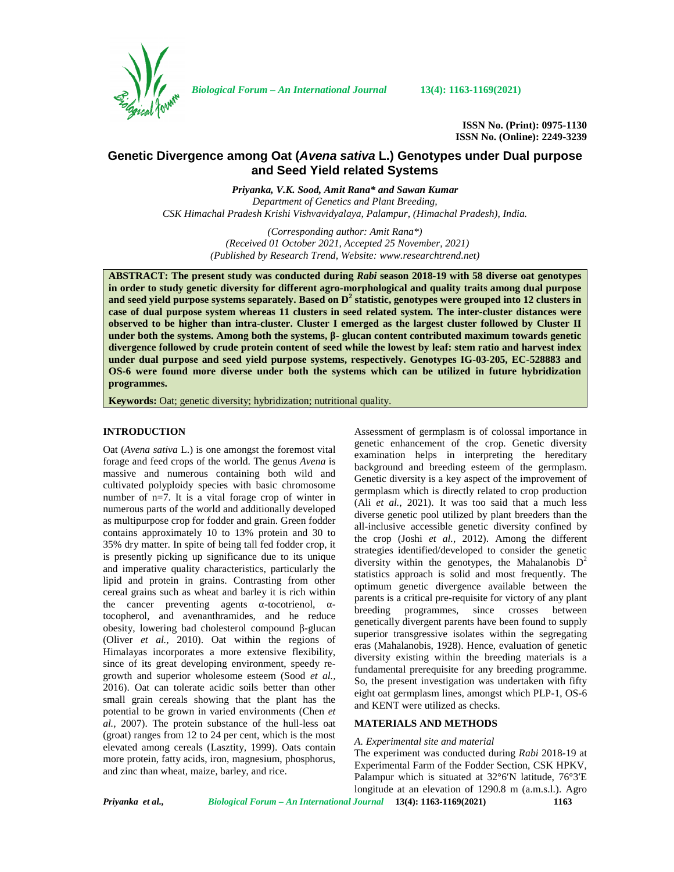

*Biological Forum – An International Journal* **13(4): 1163-1169(2021)**

**ISSN No. (Print): 0975-1130 ISSN No. (Online): 2249-3239**

# **Genetic Divergence among Oat (***Avena sativa* **L.) Genotypes under Dual purpose and Seed Yield related Systems**

*Priyanka, V.K. Sood, Amit Rana\* and Sawan Kumar Department of Genetics and Plant Breeding,*

*CSK Himachal Pradesh Krishi Vishvavidyalaya, Palampur, (Himachal Pradesh), India.*

*(Corresponding author: Amit Rana\*) (Received 01 October 2021, Accepted 25 November, 2021) (Published by Research Trend, Website: [www.researchtrend.net\)](www.researchtrend.net)*

**ABSTRACT: The present study was conducted during** *Rabi* **season 2018-19 with 58 diverse oat genotypes in order to study genetic diversity for different agro-morphological and quality traits among dual purpose and seed yield purpose systems separately. Based on D<sup>2</sup> statistic, genotypes were grouped into 12 clusters in case of dual purpose system whereas 11 clusters in seed related system. The inter-cluster distances were observed to be higher than intra-cluster. Cluster I emerged as the largest cluster followed by Cluster II** under both the systems. Among both the systems, - glucan content contributed maximum towards genetic **divergence followed by crude protein content of seed while the lowest by leaf: stem ratio and harvest index under dual purpose and seed yield purpose systems, respectively. Genotypes IG-03-205, EC-528883 and OS-6 were found more diverse under both the systems which can be utilized in future hybridization programmes.**

**Keywords:** Oat; genetic diversity; hybridization; nutritional quality.

## **INTRODUCTION**

Oat (*Avena sativa* L.) is one amongst the foremost vital forage and feed crops of the world. The genus *Avena* is massive and numerous containing both wild and cultivated polyploidy species with basic chromosome number of n=7. It is a vital forage crop of winter in numerous parts of the world and additionally developed as multipurpose crop for fodder and grain. Green fodder contains approximately 10 to 13% protein and 30 to 35% dry matter. In spite of being tall fed fodder crop, it is presently picking up significance due to its unique and imperative quality characteristics, particularly the lipid and protein in grains. Contrasting from other cereal grains such as wheat and barley it is rich within the cancer preventing agents -tocotrienol, tocopherol, and avenanthramides, and he reduce obesity, lowering bad cholesterol compound -glucan (Oliver *et al.,* 2010). Oat within the regions of Himalayas incorporates a more extensive flexibility, since of its great developing environment, speedy re growth and superior wholesome esteem (Sood *et al.,* 2016). Oat can tolerate acidic soils better than other small grain cereals showing that the plant has the potential to be grown in varied environments (Chen *et al.,* 2007). The protein substance of the hull-less oat (groat) ranges from 12 to 24 per cent, which is the most elevated among cereals (Lasztity*,* 1999). Oats contain more protein, fatty acids, iron, magnesium, phosphorus, and zinc than wheat, maize, barley, and rice.

Assessment of germplasm is of colossal importance in genetic enhancement of the crop. Genetic diversity examination helps in interpreting the hereditary background and breeding esteem of the germplasm. Genetic diversity is a key aspect of the improvement of germplasm which is directly related to crop production (Ali *et al.*, 2021). It was too said that a much less diverse genetic pool utilized by plant breeders than the all-inclusive accessible genetic diversity confined by the crop (Joshi *et al.,* 2012). Among the different strategies identified/developed to consider the genetic diversity within the genotypes, the Mahalanobis  $D^2$ statistics approach is solid and most frequently. The optimum genetic divergence available between the parents is a critical pre-requisite for victory of any plant programmes, since crosses between genetically divergent parents have been found to supply superior transgressive isolates within the segregating eras (Mahalanobis, 1928). Hence, evaluation of genetic diversity existing within the breeding materials is a fundamental prerequisite for any breeding programme. So, the present investigation was undertaken with fifty eight oat germplasm lines, amongst which PLP-1, OS-6 and KENT were utilized as checks.

## **MATERIALS AND METHODS**

#### *A. Experimental site and material*

The experiment was conducted during *Rabi* 2018-19 at Experimental Farm of the Fodder Section, CSK HPKV, Palampur which is situated at 32°6 N latitude, 76°3 E longitude at an elevation of 1290.8 m (a.m.s.l.). Agro

*Priyanka et al., Biological Forum – An International Journal* **13(4): 1163-1169(2021) 1163**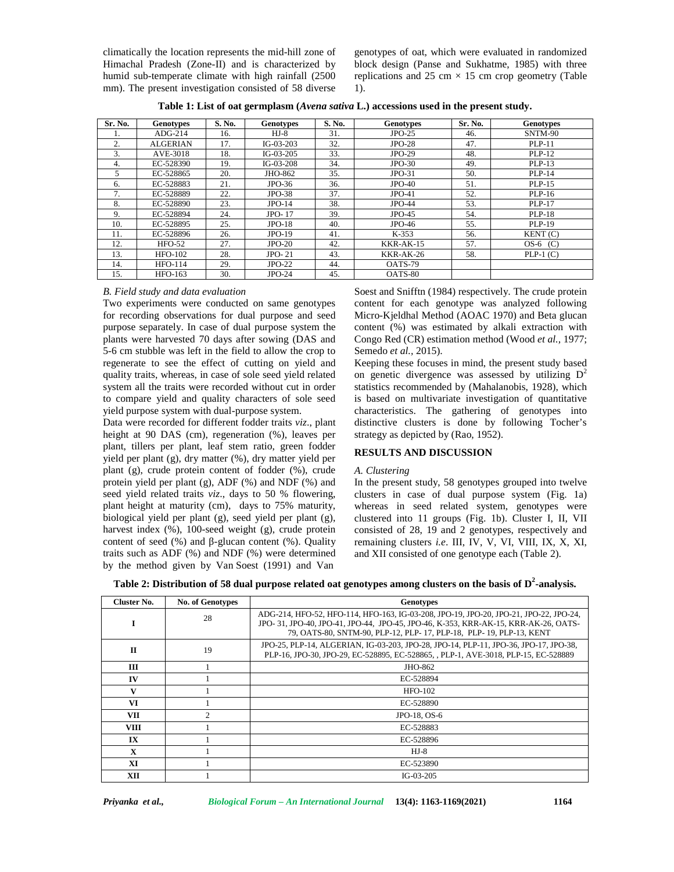climatically the location represents the mid-hill zone of Himachal Pradesh (Zone-II) and is characterized by humid sub-temperate climate with high rainfall (2500 mm). The present investigation consisted of 58 diverse

genotypes of oat, which were evaluated in randomized block design (Panse and Sukhatme, 1985) with three replications and 25 cm  $\times$  15 cm crop geometry (Table 1).

| Table 1: List of oat germplasm (Avena sativa L.) accessions used in the present study. |
|----------------------------------------------------------------------------------------|
|----------------------------------------------------------------------------------------|

| Sr. No. | <b>Genotypes</b> | S. No. | <b>Genotypes</b> | S. No.<br><b>Genotypes</b> |               | Sr. No. | <b>Genotypes</b> |
|---------|------------------|--------|------------------|----------------------------|---------------|---------|------------------|
|         | $ADG-214$        | 16.    | $HJ-8$           | 31.                        | $JPO-25$      | 46.     | SNTM-90          |
| 2.      | <b>ALGERIAN</b>  | 17.    | $IG-03-203$      | 32.                        | $JPO-28$      | 47.     | <b>PLP-11</b>    |
| 3.      | AVE-3018         | 18.    | $IG-03-205$      | 33.                        | <b>JPO-29</b> | 48.     | <b>PLP-12</b>    |
| 4.      | EC-528390        | 19.    | $IG-03-208$      | 34.                        | $JPO-30$      | 49.     | <b>PLP-13</b>    |
| 5       | EC-528865        | 20.    | JHO-862          | 35.                        | $JPO-31$      | 50.     | <b>PLP-14</b>    |
| 6.      | EC-528883        | 21.    | $JPO-36$         | 36.                        | $JPO-40$      | 51.     | PLP-15           |
| 7.      | EC-528889        | 22.    | $JPO-38$         | 37.                        | $JPO-41$      | 52.     | PLP-16           |
| 8.      | EC-528890        | 23.    | $JPO-14$         | 38.                        | <b>JPO-44</b> | 53.     | <b>PLP-17</b>    |
| 9.      | EC-528894        | 24.    | JPO-17           | 39.                        | $JPO-45$      | 54.     | <b>PLP-18</b>    |
| 10.     | EC-528895        | 25.    | $JPO-18$         | 40.                        | $JPO-46$      | 55.     | <b>PLP-19</b>    |
| 11.     | EC-528896        | 26.    | $JPO-19$         | 41.                        | $K-353$       | 56.     | KENT(C)          |
| 12.     | $HFO-52$         | 27.    | $JPO-20$         | 42.                        | KKR-AK-15     | 57.     | $OS-6$ (C)       |
| 13.     | <b>HFO-102</b>   | 28.    | $JPO-21$         | 43.                        | $KKR-AK-26$   | 58.     | $PLP-1(C)$       |
| 14.     | <b>HFO-114</b>   | 29.    | $JPO-22$         | 44.                        | OATS-79       |         |                  |
| 15.     | HFO-163          | 30.    | $JPO-24$         | 45.                        | OATS-80       |         |                  |

#### *B. Field study and data evaluation*

Two experiments were conducted on same genotypes for recording observations for dual purpose and seed purpose separately. In case of dual purpose system the plants were harvested 70 days after sowing (DAS and 5-6 cm stubble was left in the field to allow the crop to regenerate to see the effect of cutting on yield and quality traits, whereas, in case of sole seed yield related system all the traits were recorded without cut in order to compare yield and quality characters of sole seed yield purpose system with dual-purpose system.

Data were recorded for different fodder traits *viz*., plant height at 90 DAS (cm), regeneration (%), leaves per plant, tillers per plant, leaf stem ratio, green fodder yield per plant (g), dry matter (%), dry matter yield per plant (g), crude protein content of fodder (%), crude protein yield per plant (g), ADF (%) and NDF (%) and seed yield related traits *viz*., days to 50 % flowering, plant height at maturity (cm), days to 75% maturity, biological yield per plant (g), seed yield per plant (g), harvest index (%), 100-seed weight (g), crude protein content of seed  $(\%)$  and -glucan content  $(\%)$ . Quality traits such as ADF (%) and NDF (%) were determined by the method given by Van Soest (1991) and Van Soest and Snifftn (1984) respectively. The crude protein content for each genotype was analyzed following Micro-Kjeldhal Method (AOAC 1970) and Beta glucan content (%) was estimated by alkali extraction with Congo Red (CR) estimation method (Wood *et al.,* 1977; Semedo *et al.,* 2015).

Keeping these focuses in mind, the present study based on genetic divergence was assessed by utilizing  $D^2$ statistics recommended by (Mahalanobis, 1928), which is based on multivariate investigation of quantitative characteristics. The gathering of genotypes into distinctive clusters is done by following Tocher's strategy as depicted by (Rao, 1952).

## **RESULTS AND DISCUSSION**

## *A. Clustering*

In the present study, 58 genotypes grouped into twelve clusters in case of dual purpose system (Fig. 1a) whereas in seed related system, genotypes were clustered into 11 groups (Fig. 1b). Cluster I, II, VII consisted of 28, 19 and 2 genotypes, respectively and remaining clusters *i.e*. III, IV, V, VI, VIII, IX, X, XI, and XII consisted of one genotype each (Table 2).

| Table 2: Distribution of 58 dual purpose related oat genotypes among clusters on the basis of $D^2$ -analysis. |  |  |
|----------------------------------------------------------------------------------------------------------------|--|--|
|                                                                                                                |  |  |

| Cluster No.  | <b>No. of Genotypes</b> | <b>Genotypes</b>                                                                                                                                                                                                                                  |
|--------------|-------------------------|---------------------------------------------------------------------------------------------------------------------------------------------------------------------------------------------------------------------------------------------------|
| I            | 28                      | ADG-214, HFO-52, HFO-114, HFO-163, IG-03-208, JPO-19, JPO-20, JPO-21, JPO-22, JPO-24,<br>JPO-31, JPO-40, JPO-41, JPO-44, JPO-45, JPO-46, K-353, KRR-AK-15, KRR-AK-26, OATS-<br>79, OATS-80, SNTM-90, PLP-12, PLP-17, PLP-18, PLP-19, PLP-13, KENT |
| $\mathbf{H}$ | 19                      | JPO-25, PLP-14, ALGERIAN, IG-03-203, JPO-28, JPO-14, PLP-11, JPO-36, JPO-17, JPO-38,<br>PLP-16, JPO-30, JPO-29, EC-528895, EC-528865, , PLP-1, AVE-3018, PLP-15, EC-528889                                                                        |
| Ш            |                         | JHO-862                                                                                                                                                                                                                                           |
| IV           |                         | EC-528894                                                                                                                                                                                                                                         |
| V            |                         | $HFO-102$                                                                                                                                                                                                                                         |
| VI           |                         | EC-528890                                                                                                                                                                                                                                         |
| VII          | $\mathcal{D}$           | JPO-18, OS-6                                                                                                                                                                                                                                      |
| VIII         |                         | EC-528883                                                                                                                                                                                                                                         |
| IX           |                         | EC-528896                                                                                                                                                                                                                                         |
| $\mathbf{x}$ |                         | $HJ-8$                                                                                                                                                                                                                                            |
| XI           |                         | EC-523890                                                                                                                                                                                                                                         |
| XII          |                         | $IG-03-205$                                                                                                                                                                                                                                       |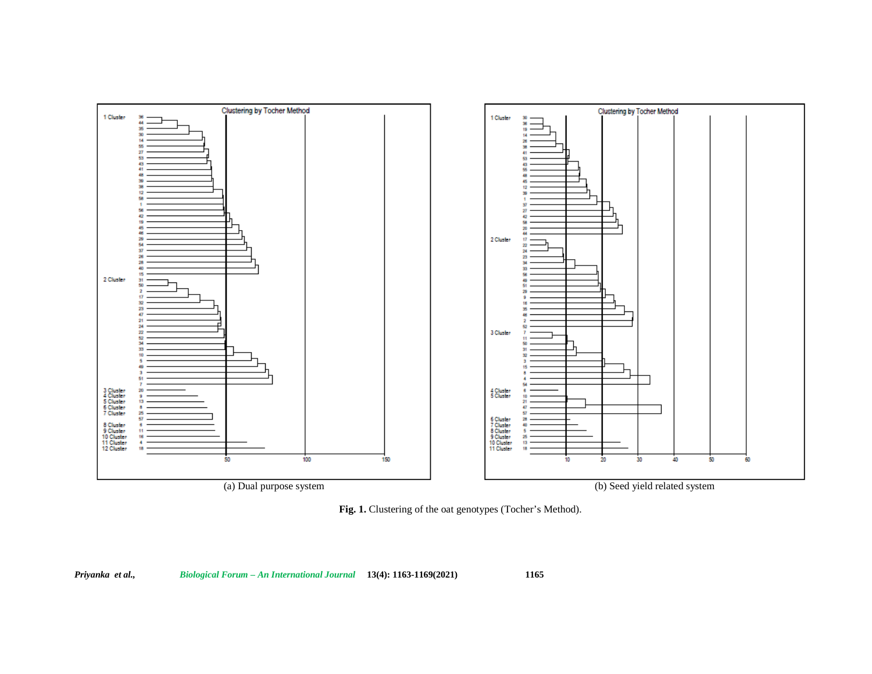

**Fig. 1.** Clustering of the oat genotypes (Tocher's Method).

*Priyanka et al., Biological Forum – An International Journal* **13(4): 1163-1169(2021) 1165**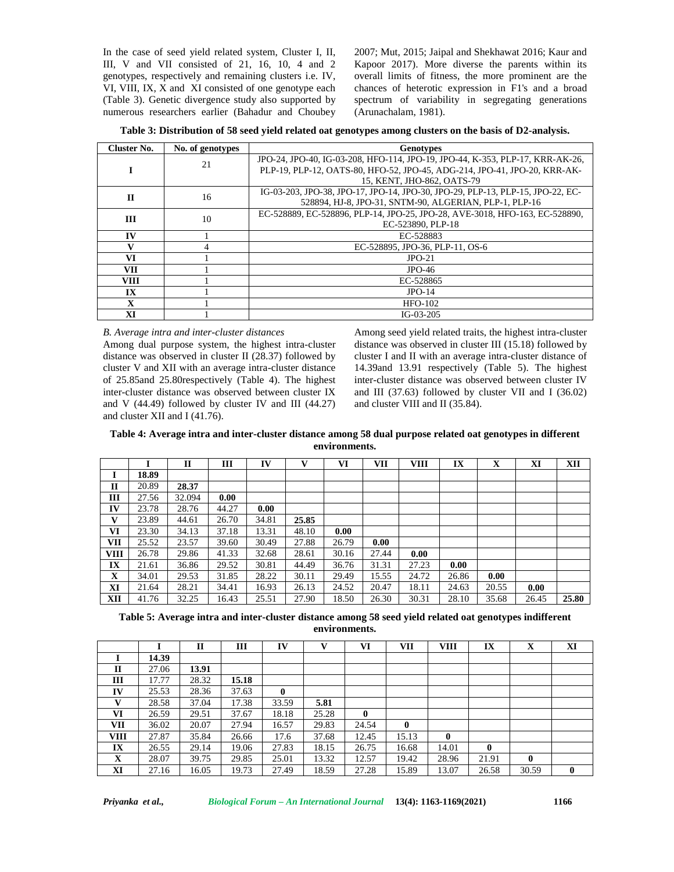In the case of seed yield related system, Cluster I, II, III, V and VII consisted of 21, 16, 10, 4 and 2 genotypes, respectively and remaining clusters i.e. IV, VI, VIII, IX, X and XI consisted of one genotype each (Table 3). Genetic divergence study also supported by numerous researchers earlier (Bahadur and Choubey 2007; Mut, 2015; Jaipal and Shekhawat 2016; Kaur and Kapoor 2017). More diverse the parents within its overall limits of fitness, the more prominent are the chances of heterotic expression in F1's and a broad spectrum of variability in segregating generations (Arunachalam, 1981).

**Table 3: Distribution of 58 seed yield related oat genotypes among clusters on the basis of D2-analysis.**

| Cluster No.  | No. of genotypes | <b>Genotypes</b>                                                                                                                         |
|--------------|------------------|------------------------------------------------------------------------------------------------------------------------------------------|
|              | 21               | JPO-24, JPO-40, IG-03-208, HFO-114, JPO-19, JPO-44, K-353, PLP-17, KRR-AK-26,                                                            |
|              |                  | PLP-19, PLP-12, OATS-80, HFO-52, JPO-45, ADG-214, JPO-41, JPO-20, KRR-AK-<br>15. KENT, JHO-862, OATS-79                                  |
| $\mathbf{I}$ | 16               | IG-03-203, JPO-38, JPO-17, JPO-14, JPO-30, JPO-29, PLP-13, PLP-15, JPO-22, EC-<br>528894, HJ-8, JPO-31, SNTM-90, ALGERIAN, PLP-1, PLP-16 |
| III          | 10               | EC-528889, EC-528896, PLP-14, JPO-25, JPO-28, AVE-3018, HFO-163, EC-528890,<br>EC-523890, PLP-18                                         |
| $\bf{IV}$    |                  | EC-528883                                                                                                                                |
|              |                  | EC-528895, JPO-36, PLP-11, OS-6                                                                                                          |
| VI           |                  | $JPO-21$                                                                                                                                 |
| <b>VII</b>   |                  | $JPO-46$                                                                                                                                 |
| <b>VIII</b>  |                  | EC-528865                                                                                                                                |
| IX           |                  | $JPO-14$                                                                                                                                 |
| $\mathbf x$  |                  | $HFO-102$                                                                                                                                |
| XI           |                  | $IG-03-205$                                                                                                                              |

*B. Average intra and inter-cluster distances*

Among dual purpose system, the highest intra-cluster distance was observed in cluster II (28.37) followed by cluster V and XII with an average intra-cluster distance of 25.85and 25.80respectively (Table 4). The highest inter-cluster distance was observed between cluster IX and V  $(44.49)$  followed by cluster IV and III  $(44.27)$ and cluster XII and I (41.76).

Among seed yield related traits, the highest intra-cluster distance was observed in cluster III (15.18) followed by cluster I and II with an average intra-cluster distance of 14.39and 13.91 respectively (Table 5). The highest inter-cluster distance was observed between cluster IV and III (37.63) followed by cluster VII and I (36.02) and cluster VIII and II (35.84).

| Table 4: Average intra and inter-cluster distance among 58 dual purpose related oat genotypes in different |
|------------------------------------------------------------------------------------------------------------|
| environments.                                                                                              |

|              |       | $\mathbf{H}$ | Ш     | IV    |       | VI    | VII   | <b>VIII</b> | IX    | x     | XI    | XII   |
|--------------|-------|--------------|-------|-------|-------|-------|-------|-------------|-------|-------|-------|-------|
|              | 18.89 |              |       |       |       |       |       |             |       |       |       |       |
| $\mathbf{I}$ | 20.89 | 28.37        |       |       |       |       |       |             |       |       |       |       |
| Ш            | 27.56 | 32.094       | 0.00  |       |       |       |       |             |       |       |       |       |
| IV           | 23.78 | 28.76        | 44.27 | 0.00  |       |       |       |             |       |       |       |       |
| v            | 23.89 | 44.61        | 26.70 | 34.81 | 25.85 |       |       |             |       |       |       |       |
| VI           | 23.30 | 34.13        | 37.18 | 13.31 | 48.10 | 0.00  |       |             |       |       |       |       |
| VII          | 25.52 | 23.57        | 39.60 | 30.49 | 27.88 | 26.79 | 0.00  |             |       |       |       |       |
| <b>VIII</b>  | 26.78 | 29.86        | 41.33 | 32.68 | 28.61 | 30.16 | 27.44 | 0.00        |       |       |       |       |
| IX           | 21.61 | 36.86        | 29.52 | 30.81 | 44.49 | 36.76 | 31.31 | 27.23       | 0.00  |       |       |       |
| $\mathbf X$  | 34.01 | 29.53        | 31.85 | 28.22 | 30.11 | 29.49 | 15.55 | 24.72       | 26.86 | 0.00  |       |       |
| XI           | 21.64 | 28.21        | 34.41 | 16.93 | 26.13 | 24.52 | 20.47 | 18.11       | 24.63 | 20.55 | 0.00  |       |
| XII          | 41.76 | 32.25        | 16.43 | 25.51 | 27.90 | 18.50 | 26.30 | 30.31       | 28.10 | 35.68 | 26.45 | 25.80 |

**Table 5: Average intra and inter-cluster distance among 58 seed yield related oat genotypes indifferent environments.**

|              |       | $\mathbf{H}$ | Ш     | IV           | $\mathbf{V}$ | VI           | VII          | <b>VIII</b>  | IX           | X            | XI           |
|--------------|-------|--------------|-------|--------------|--------------|--------------|--------------|--------------|--------------|--------------|--------------|
|              | 14.39 |              |       |              |              |              |              |              |              |              |              |
| $\mathbf{I}$ | 27.06 | 13.91        |       |              |              |              |              |              |              |              |              |
| III          | 17.77 | 28.32        | 15.18 |              |              |              |              |              |              |              |              |
| IV           | 25.53 | 28.36        | 37.63 | $\mathbf{0}$ |              |              |              |              |              |              |              |
| $\mathbf{V}$ | 28.58 | 37.04        | 17.38 | 33.59        | 5.81         |              |              |              |              |              |              |
| VI           | 26.59 | 29.51        | 37.67 | 18.18        | 25.28        | $\mathbf{0}$ |              |              |              |              |              |
| <b>VII</b>   | 36.02 | 20.07        | 27.94 | 16.57        | 29.83        | 24.54        | $\mathbf{0}$ |              |              |              |              |
| <b>VIII</b>  | 27.87 | 35.84        | 26.66 | 17.6         | 37.68        | 12.45        | 15.13        | $\mathbf{0}$ |              |              |              |
| IX           | 26.55 | 29.14        | 19.06 | 27.83        | 18.15        | 26.75        | 16.68        | 14.01        | $\mathbf{0}$ |              |              |
| X            | 28.07 | 39.75        | 29.85 | 25.01        | 13.32        | 12.57        | 19.42        | 28.96        | 21.91        | $\mathbf{0}$ |              |
| XI           | 27.16 | 16.05        | 19.73 | 27.49        | 18.59        | 27.28        | 15.89        | 13.07        | 26.58        | 30.59        | $\mathbf{0}$ |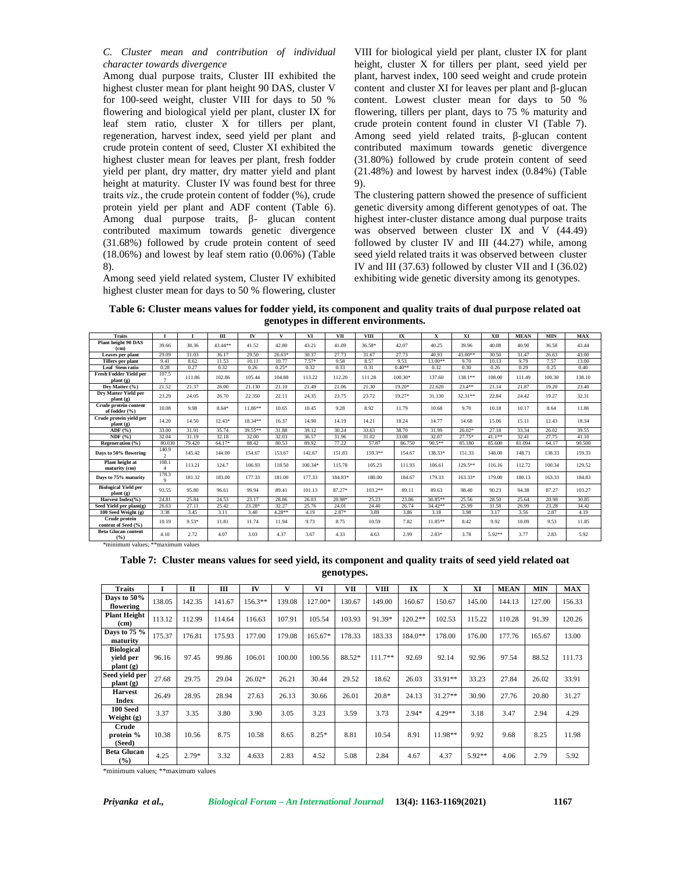*C. Cluster mean and contribution of individual character towards divergence*

Among dual purpose traits, Cluster III exhibited the highest cluster mean for plant height 90 DAS, cluster V for 100-seed weight, cluster VIII for days to 50 % flowering and biological yield per plant, cluster IX for leaf stem ratio, cluster X for tillers per plant, regeneration, harvest index, seed yield per plant and crude protein content of seed, Cluster XI exhibited the highest cluster mean for leaves per plant, fresh fodder yield per plant, dry matter, dry matter yield and plant height at maturity. Cluster IV was found best for three traits *viz.*, the crude protein content of fodder (%), crude protein yield per plant and ADF content (Table 6). Among dual purpose traits, - glucan content contributed maximum towards genetic divergence (31.68%) followed by crude protein content of seed (18.06%) and lowest by leaf stem ratio (0.06%) (Table 8).

Among seed yield related system, Cluster IV exhibited highest cluster mean for days to 50 % flowering, cluster

VIII for biological yield per plant, cluster IX for plant height, cluster X for tillers per plant, seed yield per plant, harvest index, 100 seed weight and crude protein content and cluster XI for leaves per plant and -glucan content. Lowest cluster mean for days to 50 % flowering, tillers per plant, days to 75 % maturity and crude protein content found in cluster VI (Table 7). Among seed yield related traits, -glucan content contributed maximum towards genetic divergence (31.80%) followed by crude protein content of seed (21.48%) and lowest by harvest index (0.84%) (Table 9).

The clustering pattern showed the presence of sufficient genetic diversity among different genotypes of oat. The highest inter-cluster distance among dual purpose traits was observed between cluster IX and  $\bar{V}$  (44.49) followed by cluster IV and III (44.27) while, among seed yield related traits it was observed between cluster IV and III (37.63) followed by cluster VII and I (36.02) exhibiting wide genetic diversity among its genotypes.

**Table 6: Cluster means values for fodder yield, its component and quality traits of dual purpose related oat genotypes in different environments.**

| <b>Traits</b>                                                          |                      |         | Ш        | <b>IV</b> | $\mathbf{v}$ | VI        | VП      | <b>VIII</b> | IX       | x         | XI        | XП     | <b>MEAN</b> | <b>MIN</b> | <b>MAX</b> |
|------------------------------------------------------------------------|----------------------|---------|----------|-----------|--------------|-----------|---------|-------------|----------|-----------|-----------|--------|-------------|------------|------------|
| Plant height 90 DAS<br>(c <sub>m</sub> )                               | 39.66                | 38.36   | 43.44**  | 41.52     | 42.80        | 43.21     | 41.09   | 36.58*      | 42.07    | 40.25     | 39.96     | 40.08  | 40.90       | 36.58      | 43.44      |
| Leaves per plant                                                       | 29.09                | 31.03   | 36.17    | 29.50     | $26.63*$     | 30.37     | 27.73   | 31.67       | 27.73    | 40.93     | 43.00**   | 30.50  | 31.47       | 26.63      | 43.00      |
| <b>Tillers per plant</b>                                               | 9.41                 | 8.62    | 11.53    | 10.11     | 10.77        | $7.57*$   | 9.58    | 8.57        | 9.53     | 13.00**   | 9.70      | 10.13  | 9.79        | 7.57       | 13.00      |
| Leaf Stem ratio                                                        | 0.28                 | 0.27    | 0.32     | 0.26      | $0.25*$      | 0.32      | 0.33    | 0.31        | $0.40**$ | 0.32      | 0.30      | 0.26   | 0.29        | 0.25       | 0.40       |
| <b>Fresh Fodder Yield per</b><br>$\mathbf{plant}(\mathbf{g})$          | 107.5                | 111.86  | 102.86   | 105.44    | 104.88       | 113.22    | 112.20  | 111.28      | 100.30*  | 137.60    | 138.1**   | 108.00 | 111.49      | 100.30     | 138.10     |
| Dry Matter (%)                                                         | 21.52                | 21.37   | 26.00    | 21.130    | 21.10        | 21.49     | 21.06   | 21.30       | $19.20*$ | 22.620    | $23.4***$ | 21.14  | 21.87       | 19.20      | 23.40      |
| Dry Matter Yield per<br>$\mathbf{plant}(\mathbf{g})$                   | 23.29                | 24.05   | 26.70    | 22.350    | 22.11        | 24.35     | 23.75   | 23.72       | $19.27*$ | 31.130    | $32.31**$ | 22.84  | 24.42       | 19.27      | 32.31      |
| Crude protein content<br>of fodder (%)                                 | 10.08                | 9.98    | $8.64*$  | $11.86**$ | 10.65        | 10.45     | 9.28    | 8.92        | 11.79    | 10.68     | 9.70      | 10.18  | 10.17       | 8.64       | 11.86      |
| Crude protein yield per<br>plant(g)                                    | 14.20                | 14.50   | $12.43*$ | 18.34**   | 16.37        | 14.90     | 14.19   | 14.21       | 18.24    | 14.77     | 14.68     | 15.06  | 15.11       | 12.43      | 18.34      |
| $\bf{ADF}$ $(%)$                                                       | 33.00                | 31.91   | 35.74    | 39.55**   | 31.88        | 39.12     | 30.24   | 33.63       | 38.70    | 31.99     | $26.02*$  | 27.18  | 33.34       | 26.02      | 39.55      |
| NDF(% )                                                                | 32.04                | 31.19   | 32.18    | 32.00     | 32.03        | 36.57     | 31.96   | 31.02       | 33.08    | 32.07     | $27.75*$  | 41.1** | 32.41       | 27.75      | 41.10      |
| Regeneration (%)                                                       | 80.030               | 79.420  | 64.17*   | 88.42     | 80.53        | 89.92     | 77.22   | 57.87       | 86.750   | 90.5**    | 85.180    | 85.600 | 81.094      | 64.17      | 90.500     |
| Days to 50% flowering                                                  | 140.9                | 145.42  | 144.00   | 154.67    | 153.67       | 142.67    | 151.83  | 159.3**     | 154.67   | 138.33*   | 151.33    | 148.00 | 148.71      | 138.33     | 159.33     |
| Plant height at<br>maturity (cm)                                       | 108.1                | 113.21  | 124.7    | 106.93    | 118.50       | $100.34*$ | 115.78  | 105.23      | 111.93   | 106.61    | 129.5**   | 116.16 | 112.72      | 100.34     | 129.52     |
| Days to 75% maturity                                                   | 178.3<br>$\mathbf Q$ | 181.32  | 183.00   | 177.33    | 181.00       | 177.33    | 184.83* | 180.00      | 184.67   | 179.33    | $163.33*$ | 179.00 | 180.13      | 163.33     | 184.83     |
| <b>Biological Yield per</b><br>$\mathbf{plant}\left(\mathbf{g}\right)$ | 93.55                | 95.80   | 96.61    | 99.94     | 89.41        | 101.13    | 87.27*  | $103.2**$   | 89.11    | 89.63     | 98.40     | 90.23  | 94.38       | 87.27      | 103.27     |
| Harvest Index(%)                                                       | 24.81                | 25.84   | 24.53    | 23.17     | 28.86        | 26.03     | 20.98*  | 25.23       | 23.86    | 30.85**   | 25.56     | 28.50  | 25.64       | 20.98      | 30.85      |
| Seed Yield per plant(g)                                                | 26.63                | 27.11   | 25.42    | 23.28*    | 32.27        | 25.76     | 24.01   | 24.40       | 26.74    | 34.42**   | 25.99     | 31.58  | 26.99       | 23.28      | 34.42      |
| 100 Seed Weight (g)                                                    | 3.38                 | 3.45    | 3.11     | 3.40      | $4.28***$    | 4.19      | $2.87*$ | 3.89        | 3.86     | 3.18      | 3.98      | 3.17   | 3.56        | 2.87       | 4.19       |
| Crude protein<br>content of Seed (%)                                   | 10.19                | $9.53*$ | 11.81    | 11.74     | 11.94        | 9.73      | 8.75    | 10.59       | 7.82     | $11.85**$ | 8.42      | 9.92   | 10.09       | 9.53       | 11.85      |
| <b>Beta Glucan content</b><br>(9/6)                                    | 4.10                 | 2.72    | 4.07     | 3.03      | 4.37         | 3.67      | 4.33    | 4.63        | 2.99     | $2.83*$   | 3.78      | 5.92** | 3.77        | 2.83       | 5.92       |

#### **Table 7: Cluster means values for seed yield, its component and quality traits of seed yield related oat genotypes.**

| Traits                                                    |        | П       | Ш      | IV        |        | VI      | VП     | VШ        | IX        | X         | XI       | <b>MEAN</b> | <b>MIN</b> | <b>MAX</b> |
|-----------------------------------------------------------|--------|---------|--------|-----------|--------|---------|--------|-----------|-----------|-----------|----------|-------------|------------|------------|
| Days to 50%<br>flowering                                  | 138.05 | 142.35  | 141.67 | $156.3**$ | 139.08 | 127.00* | 130.67 | 149.00    | 160.67    | 150.67    | 145.00   | 144.13      | 127.00     | 156.33     |
| <b>Plant Height</b><br>(c <sub>m</sub> )                  | 113.12 | 112.99  | 114.64 | 116.63    | 107.91 | 105.54  | 103.93 | 91.39*    | $120.2**$ | 102.53    | 115.22   | 110.28      | 91.39      | 120.26     |
| Days to $75\%$<br>maturity                                | 175.37 | 176.81  | 175.93 | 177.00    | 179.08 | 165.67* | 178.33 | 183.33    | 184.0**   | 178.00    | 176.00   | 177.76      | 165.67     | 13.00      |
| <b>Biological</b><br>yield per<br>plant(g)                | 96.16  | 97.45   | 99.86  | 106.01    | 100.00 | 100.56  | 88.52* | $111.7**$ | 92.69     | 92.14     | 92.96    | 97.54       | 88.52      | 111.73     |
| Seed yield per<br>$\mathbf{plant}\left(\mathbf{g}\right)$ | 27.68  | 29.75   | 29.04  | $26.02*$  | 26.21  | 30.44   | 29.52  | 18.62     | 26.03     | 33.91**   | 33.23    | 27.84       | 26.02      | 33.91      |
| <b>Harvest</b><br>Index                                   | 26.49  | 28.95   | 28.94  | 27.63     | 26.13  | 30.66   | 26.01  | $20.8*$   | 24.13     | $31.27**$ | 30.90    | 27.76       | 20.80      | 31.27      |
| 100 Seed<br>Weight (g)                                    | 3.37   | 3.35    | 3.80   | 3.90      | 3.05   | 3.23    | 3.59   | 3.73      | $2.94*$   | $4.29**$  | 3.18     | 3.47        | 2.94       | 4.29       |
| Crude<br>protein %<br>(Seed)                              | 10.38  | 10.56   | 8.75   | 10.58     | 8.65   | $8.25*$ | 8.81   | 10.54     | 8.91      | $11.98**$ | 9.92     | 9.68        | 8.25       | 11.98      |
| <b>Beta Glucan</b><br>(%)                                 | 4.25   | $2.79*$ | 3.32   | 4.633     | 2.83   | 4.52    | 5.08   | 2.84      | 4.67      | 4.37      | $5.92**$ | 4.06        | 2.79       | 5.92       |

\*minimum values; \*\*maximum values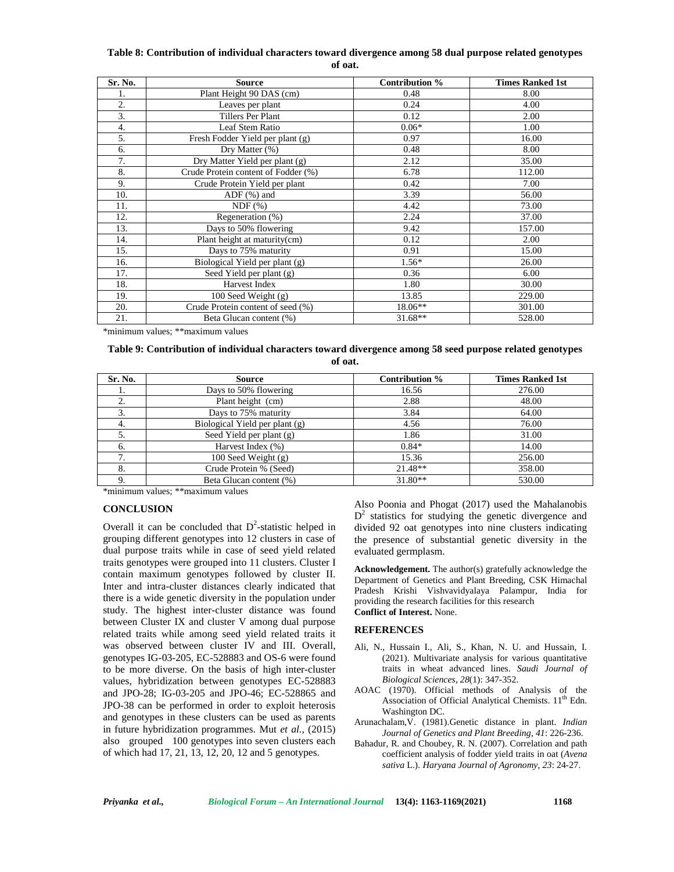#### **Table 8: Contribution of individual characters toward divergence among 58 dual purpose related genotypes of oat.**

| Sr. No. | <b>Source</b>                       | Contribution % | <b>Times Ranked 1st</b> |
|---------|-------------------------------------|----------------|-------------------------|
| ı.      | Plant Height 90 DAS (cm)            | 0.48           | 8.00                    |
| 2.      | Leaves per plant                    | 0.24           | 4.00                    |
| 3.      | Tillers Per Plant                   | 0.12           | 2.00                    |
| 4.      | Leaf Stem Ratio                     | $0.06*$        | 1.00                    |
| 5.      | Fresh Fodder Yield per plant (g)    | 0.97           | 16.00                   |
| 6.      | Dry Matter $(\%)$                   | 0.48           | 8.00                    |
| 7.      | Dry Matter Yield per plant (g)      | 2.12           | 35.00                   |
| 8.      | Crude Protein content of Fodder (%) | 6.78           | 112.00                  |
| 9.      | Crude Protein Yield per plant       | 0.42           | 7.00                    |
| 10.     | $ADF$ $%$ and                       | 3.39           | 56.00                   |
| 11.     | NDF(%)                              | 4.42           | 73.00                   |
| 12.     | Regeneration $(\% )$                | 2.24           | 37.00                   |
| 13.     | Days to 50% flowering               | 9.42           | 157.00                  |
| 14.     | Plant height at maturity(cm)        | 0.12           | 2.00                    |
| 15.     | Days to 75% maturity                | 0.91           | 15.00                   |
| 16.     | Biological Yield per plant (g)      | $1.56*$        | 26.00                   |
| 17.     | Seed Yield per plant (g)            | 0.36           | 6.00                    |
| 18.     | Harvest Index                       | 1.80           | 30.00                   |
| 19.     | 100 Seed Weight (g)                 | 13.85          | 229.00                  |
| 20.     | Crude Protein content of seed (%)   | $18.06**$      | 301.00                  |
| 21.     | Beta Glucan content (%)             | 31.68**        | 528.00                  |

\*minimum values; \*\*maximum values

## **Table 9: Contribution of individual characters toward divergence among 58 seed purpose related genotypes of oat.**

| Sr. No. | <b>Source</b>                  | Contribution % | <b>Times Ranked 1st</b> |
|---------|--------------------------------|----------------|-------------------------|
| 1.      | Days to 50% flowering          | 16.56          | 276.00                  |
|         | Plant height (cm)              | 2.88           | 48.00                   |
| 3.      | Days to 75% maturity           | 3.84           | 64.00                   |
| 4.      | Biological Yield per plant (g) | 4.56           | 76.00                   |
|         | Seed Yield per plant $(g)$     | 1.86           | 31.00                   |
|         | Harvest Index (%)              | $0.84*$        | 14.00                   |
|         | 100 Seed Weight $(g)$          | 15.36          | 256.00                  |
| 8.      | Crude Protein % (Seed)         | $21.48**$      | 358.00                  |
|         | Beta Glucan content (%)        | $31.80**$      | 530.00                  |

\*minimum values; \*\*maximum values

## **CONCLUSION**

Overall it can be concluded that  $D^2$ -statistic helped in grouping different genotypes into 12 clusters in case of dual purpose traits while in case of seed yield related traits genotypes were grouped into 11 clusters. Cluster I contain maximum genotypes followed by cluster II. Inter and intra-cluster distances clearly indicated that there is a wide genetic diversity in the population under study. The highest inter-cluster distance was found between Cluster IX and cluster V among dual purpose related traits while among seed yield related traits it was observed between cluster IV and III. Overall, genotypes IG-03-205, EC-528883 and OS-6 were found to be more diverse. On the basis of high inter-cluster values, hybridization between genotypes EC-528883 and JPO-28; IG-03-205 and JPO-46; EC-528865 and JPO-38 can be performed in order to exploit heterosis and genotypes in these clusters can be used as parents in future hybridization programmes. Mut *et al.*, (2015) also grouped 100 genotypes into seven clusters each of which had 17, 21, 13, 12, 20, 12 and 5 genotypes.

Also Poonia and Phogat (2017) used the Mahalanobis  $D<sup>2</sup>$  statistics for studying the genetic divergence and divided 92 oat genotypes into nine clusters indicating the presence of substantial genetic diversity in the evaluated germplasm.

**Acknowledgement.** The author(s) gratefully acknowledge the Department of Genetics and Plant Breeding, CSK Himachal Pradesh Krishi Vishvavidyalaya Palampur, India for providing the research facilities for this research **Conflict of Interest.** None.

## **REFERENCES**

- Ali, N., Hussain I., Ali, S., Khan, N. U. and Hussain, I. (2021). Multivariate analysis for various quantitative traits in wheat advanced lines. *Saudi Journal of Biological Sciences*, *28*(1): 347-352.
- AOAC (1970). Official methods of Analysis of the Association of Official Analytical Chemists. 11<sup>th</sup> Edn. Washington DC.
- Arunachalam,V. (1981).Genetic distance in plant. *Indian Journal of Genetics and Plant Breeding, 41*: 226-236.
- Bahadur, R. and Choubey, R. N. (2007). Correlation and path coefficient analysis of fodder yield traits in oat (*Avena sativa* L.). *Haryana Journal of Agronomy*, *23*: 24-27.